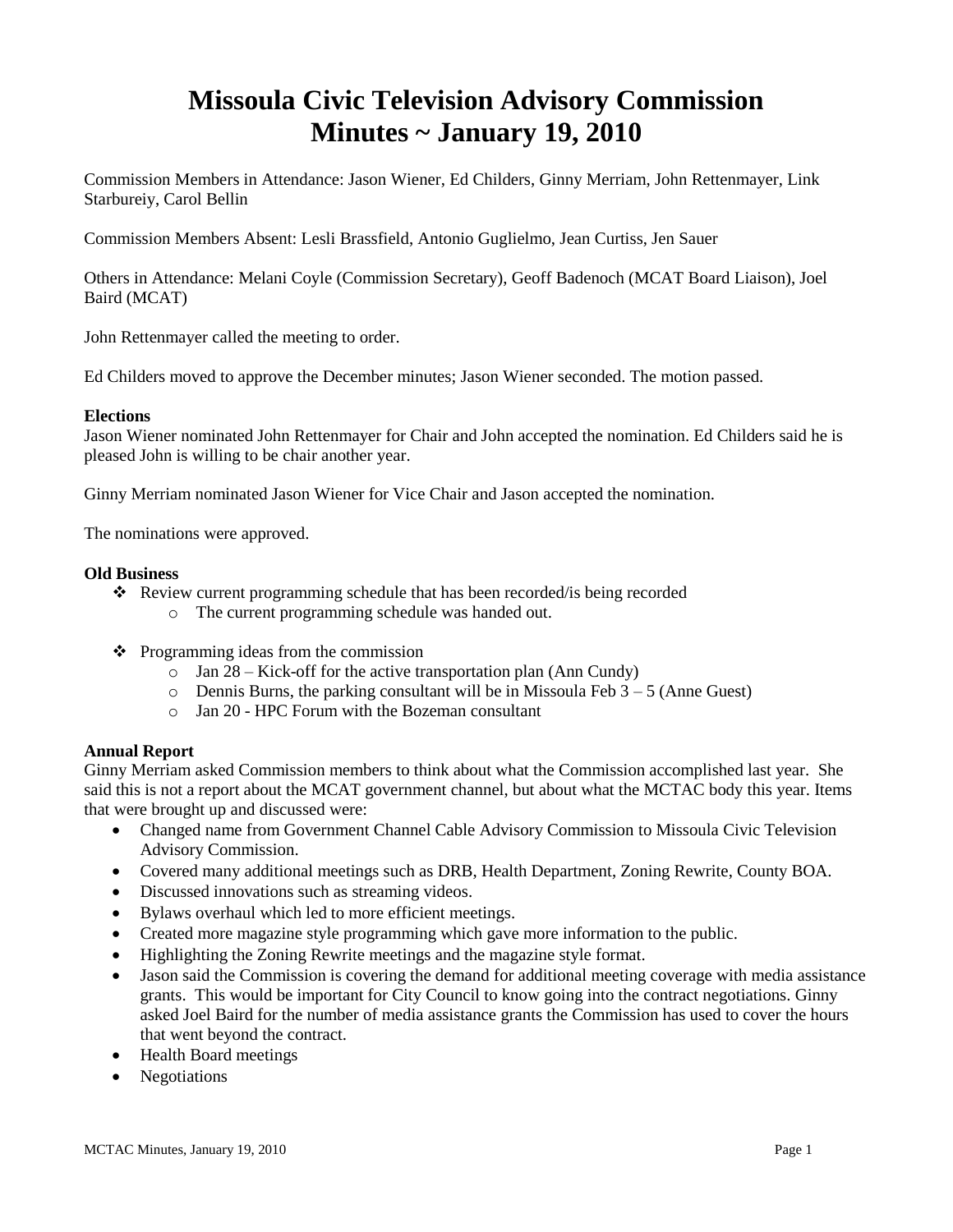# **Missoula Civic Television Advisory Commission Minutes ~ January 19, 2010**

Commission Members in Attendance: Jason Wiener, Ed Childers, Ginny Merriam, John Rettenmayer, Link Starbureiy, Carol Bellin

Commission Members Absent: Lesli Brassfield, Antonio Guglielmo, Jean Curtiss, Jen Sauer

Others in Attendance: Melani Coyle (Commission Secretary), Geoff Badenoch (MCAT Board Liaison), Joel Baird (MCAT)

John Rettenmayer called the meeting to order.

Ed Childers moved to approve the December minutes; Jason Wiener seconded. The motion passed.

#### **Elections**

Jason Wiener nominated John Rettenmayer for Chair and John accepted the nomination. Ed Childers said he is pleased John is willing to be chair another year.

Ginny Merriam nominated Jason Wiener for Vice Chair and Jason accepted the nomination.

The nominations were approved.

#### **Old Business**

- Review current programming schedule that has been recorded/is being recorded
	- o The current programming schedule was handed out.
- $\triangleleft$  Programming ideas from the commission
	- o Jan 28 Kick-off for the active transportation plan (Ann Cundy)
	- $\circ$  Dennis Burns, the parking consultant will be in Missoula Feb 3 5 (Anne Guest)
	- o Jan 20 HPC Forum with the Bozeman consultant

## **Annual Report**

Ginny Merriam asked Commission members to think about what the Commission accomplished last year. She said this is not a report about the MCAT government channel, but about what the MCTAC body this year. Items that were brought up and discussed were:

- Changed name from Government Channel Cable Advisory Commission to Missoula Civic Television Advisory Commission.
- Covered many additional meetings such as DRB, Health Department, Zoning Rewrite, County BOA.
- Discussed innovations such as streaming videos.
- Bylaws overhaul which led to more efficient meetings.
- Created more magazine style programming which gave more information to the public.
- Highlighting the Zoning Rewrite meetings and the magazine style format.
- Jason said the Commission is covering the demand for additional meeting coverage with media assistance grants. This would be important for City Council to know going into the contract negotiations. Ginny asked Joel Baird for the number of media assistance grants the Commission has used to cover the hours that went beyond the contract.
- Health Board meetings
- Negotiations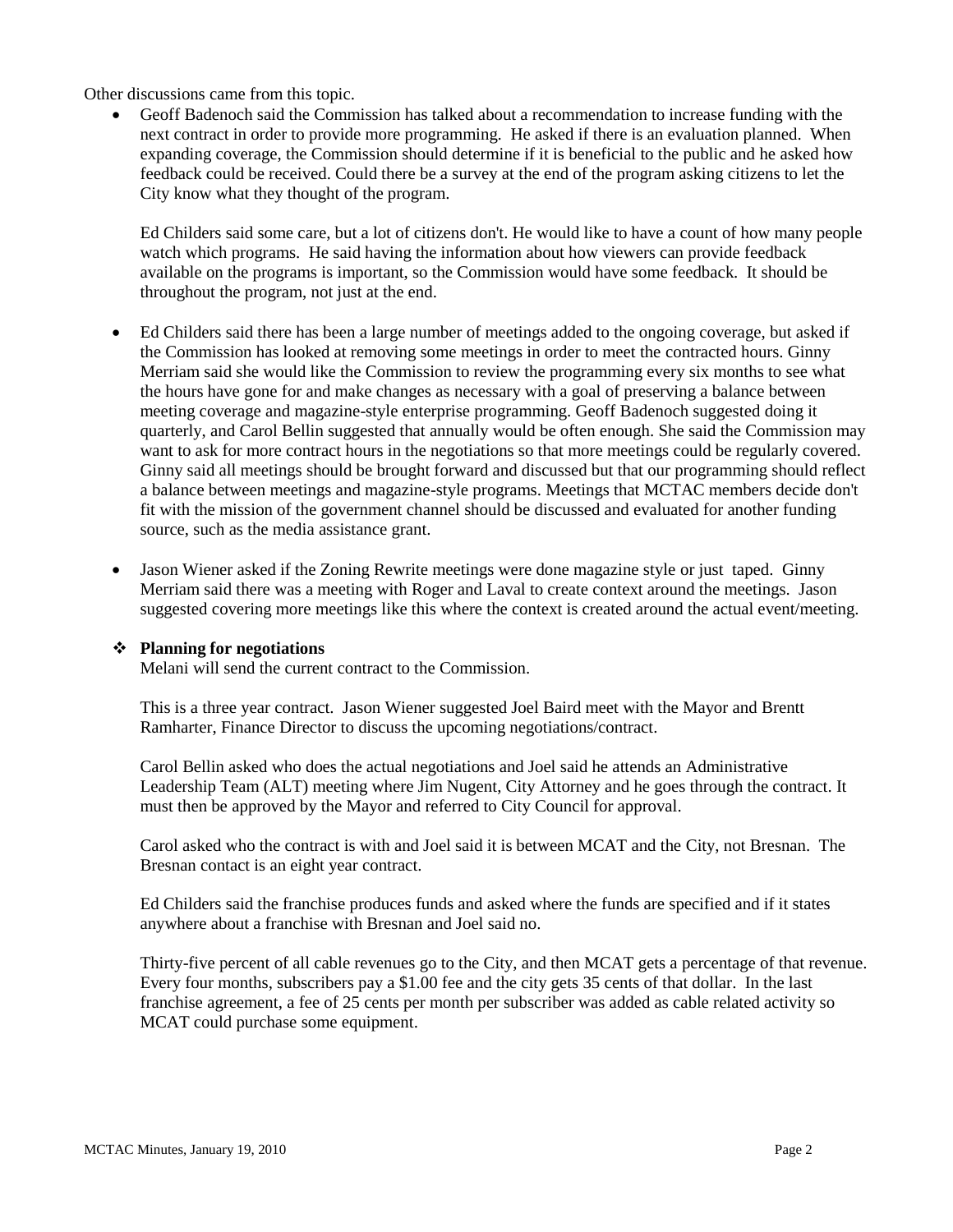Other discussions came from this topic.

 Geoff Badenoch said the Commission has talked about a recommendation to increase funding with the next contract in order to provide more programming. He asked if there is an evaluation planned. When expanding coverage, the Commission should determine if it is beneficial to the public and he asked how feedback could be received. Could there be a survey at the end of the program asking citizens to let the City know what they thought of the program.

Ed Childers said some care, but a lot of citizens don't. He would like to have a count of how many people watch which programs. He said having the information about how viewers can provide feedback available on the programs is important, so the Commission would have some feedback. It should be throughout the program, not just at the end.

- Ed Childers said there has been a large number of meetings added to the ongoing coverage, but asked if the Commission has looked at removing some meetings in order to meet the contracted hours. Ginny Merriam said she would like the Commission to review the programming every six months to see what the hours have gone for and make changes as necessary with a goal of preserving a balance between meeting coverage and magazine-style enterprise programming. Geoff Badenoch suggested doing it quarterly, and Carol Bellin suggested that annually would be often enough. She said the Commission may want to ask for more contract hours in the negotiations so that more meetings could be regularly covered. Ginny said all meetings should be brought forward and discussed but that our programming should reflect a balance between meetings and magazine-style programs. Meetings that MCTAC members decide don't fit with the mission of the government channel should be discussed and evaluated for another funding source, such as the media assistance grant.
- Jason Wiener asked if the Zoning Rewrite meetings were done magazine style or just taped. Ginny Merriam said there was a meeting with Roger and Laval to create context around the meetings. Jason suggested covering more meetings like this where the context is created around the actual event/meeting.

#### **Planning for negotiations**

Melani will send the current contract to the Commission.

This is a three year contract. Jason Wiener suggested Joel Baird meet with the Mayor and Brentt Ramharter, Finance Director to discuss the upcoming negotiations/contract.

Carol Bellin asked who does the actual negotiations and Joel said he attends an Administrative Leadership Team (ALT) meeting where Jim Nugent, City Attorney and he goes through the contract. It must then be approved by the Mayor and referred to City Council for approval.

Carol asked who the contract is with and Joel said it is between MCAT and the City, not Bresnan. The Bresnan contact is an eight year contract.

Ed Childers said the franchise produces funds and asked where the funds are specified and if it states anywhere about a franchise with Bresnan and Joel said no.

Thirty-five percent of all cable revenues go to the City, and then MCAT gets a percentage of that revenue. Every four months, subscribers pay a \$1.00 fee and the city gets 35 cents of that dollar. In the last franchise agreement, a fee of 25 cents per month per subscriber was added as cable related activity so MCAT could purchase some equipment.